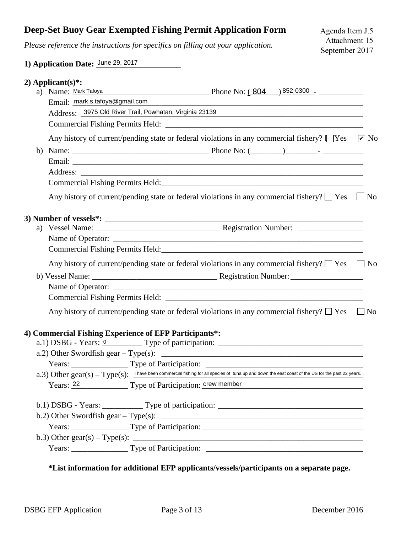## **Deep-Set Buoy Gear Exempted Fishing Permit Application Form**

*Please reference the instructions for specifics on filling out your application.*

## **1) Application Date:** June 29, 2017

|    | 2) Applicant(s)*:                                                                                                                                                                                                                                                                             |  |  |                                                                                                                                                                                                                                    |           |
|----|-----------------------------------------------------------------------------------------------------------------------------------------------------------------------------------------------------------------------------------------------------------------------------------------------|--|--|------------------------------------------------------------------------------------------------------------------------------------------------------------------------------------------------------------------------------------|-----------|
|    | a) Name: Mark Tafoya                                                                                                                                                                                                                                                                          |  |  | $Phone No: (804)$ 852-0300 - 2000 - 2010 - 2010 - 2010 - 2010 - 2010 - 2010 - 2010 - 2010 - 2010 - 2010 - 2010 - 2010 - 2010 - 2010 - 2010 - 2010 - 2010 - 2010 - 2010 - 2010 - 2010 - 2010 - 2010 - 2010 - 2010 - 2010 - 2010 - 2 |           |
|    | Email: mark.s.tafoya@gmail.com                                                                                                                                                                                                                                                                |  |  | <u> 1989 - Johann John Stein, mars an deutscher Stein und der Stein und der Stein und der Stein und der Stein und</u>                                                                                                              |           |
|    | Address: 3975 Old River Trail, Powhatan, Virginia 23139<br><u> 1989 - Johann John Stein, markin fan it ferstjer fan it ferstjer fan it ferstjer fan it ferstjer fan it fers</u>                                                                                                               |  |  |                                                                                                                                                                                                                                    |           |
|    |                                                                                                                                                                                                                                                                                               |  |  |                                                                                                                                                                                                                                    |           |
|    | Any history of current/pending state or federal violations in any commercial fishery? $\Box$ Yes $\Box$ No                                                                                                                                                                                    |  |  |                                                                                                                                                                                                                                    |           |
| b) |                                                                                                                                                                                                                                                                                               |  |  |                                                                                                                                                                                                                                    |           |
|    |                                                                                                                                                                                                                                                                                               |  |  |                                                                                                                                                                                                                                    |           |
|    |                                                                                                                                                                                                                                                                                               |  |  |                                                                                                                                                                                                                                    |           |
|    |                                                                                                                                                                                                                                                                                               |  |  |                                                                                                                                                                                                                                    |           |
|    | Any history of current/pending state or federal violations in any commercial fishery? $\Box$ Yes $\Box$ No                                                                                                                                                                                    |  |  |                                                                                                                                                                                                                                    |           |
|    | 3) Number of vessels*: $\qquad \qquad$                                                                                                                                                                                                                                                        |  |  |                                                                                                                                                                                                                                    |           |
|    |                                                                                                                                                                                                                                                                                               |  |  |                                                                                                                                                                                                                                    |           |
|    |                                                                                                                                                                                                                                                                                               |  |  |                                                                                                                                                                                                                                    |           |
|    |                                                                                                                                                                                                                                                                                               |  |  |                                                                                                                                                                                                                                    |           |
|    | Any history of current/pending state or federal violations in any commercial fishery? $\Box$ Yes $\Box$ No                                                                                                                                                                                    |  |  |                                                                                                                                                                                                                                    |           |
|    |                                                                                                                                                                                                                                                                                               |  |  |                                                                                                                                                                                                                                    |           |
|    |                                                                                                                                                                                                                                                                                               |  |  |                                                                                                                                                                                                                                    |           |
|    |                                                                                                                                                                                                                                                                                               |  |  |                                                                                                                                                                                                                                    |           |
|    | Any history of current/pending state or federal violations in any commercial fishery? $\Box$ Yes                                                                                                                                                                                              |  |  |                                                                                                                                                                                                                                    | $\Box$ No |
|    | 4) Commercial Fishing Experience of EFP Participants*:                                                                                                                                                                                                                                        |  |  |                                                                                                                                                                                                                                    |           |
|    |                                                                                                                                                                                                                                                                                               |  |  |                                                                                                                                                                                                                                    |           |
|    | a.2) Other Swordfish gear – Type(s): $\frac{1}{2}$ = $\frac{1}{2}$ = $\frac{1}{2}$ = $\frac{1}{2}$ = $\frac{1}{2}$ = $\frac{1}{2}$ = $\frac{1}{2}$ = $\frac{1}{2}$ = $\frac{1}{2}$ = $\frac{1}{2}$ = $\frac{1}{2}$ = $\frac{1}{2}$ = $\frac{1}{2}$ = $\frac{1}{2}$ = $\frac{1}{2}$ = $\frac{$ |  |  |                                                                                                                                                                                                                                    |           |
|    |                                                                                                                                                                                                                                                                                               |  |  |                                                                                                                                                                                                                                    |           |
|    | a.3) Other gear(s) – Type(s): Thave been commercial fishing for all species of tuna up and down the east coast of the US for the past 22 years.                                                                                                                                               |  |  |                                                                                                                                                                                                                                    |           |
|    | Years: 22 Type of Participation: crew member                                                                                                                                                                                                                                                  |  |  |                                                                                                                                                                                                                                    |           |
|    | b.1) DSBG - Years: ____________ Type of participation: __________________________                                                                                                                                                                                                             |  |  |                                                                                                                                                                                                                                    |           |
|    |                                                                                                                                                                                                                                                                                               |  |  |                                                                                                                                                                                                                                    |           |
|    | Years: ____________________Type of Participation: _______________________________                                                                                                                                                                                                             |  |  |                                                                                                                                                                                                                                    |           |
|    | b.3) Other gear(s) – Type(s): $\frac{1}{2}$ = $\frac{1}{2}$ = $\frac{1}{2}$ = $\frac{1}{2}$ = $\frac{1}{2}$ = $\frac{1}{2}$ = $\frac{1}{2}$ = $\frac{1}{2}$ = $\frac{1}{2}$ = $\frac{1}{2}$ = $\frac{1}{2}$ = $\frac{1}{2}$ = $\frac{1}{2}$ = $\frac{1}{2}$ = $\frac{1}{2}$ = $\frac{1}{2}$ = |  |  |                                                                                                                                                                                                                                    |           |
|    |                                                                                                                                                                                                                                                                                               |  |  |                                                                                                                                                                                                                                    |           |
|    |                                                                                                                                                                                                                                                                                               |  |  |                                                                                                                                                                                                                                    |           |

**\*List information for additional EFP applicants/vessels/participants on a separate page.**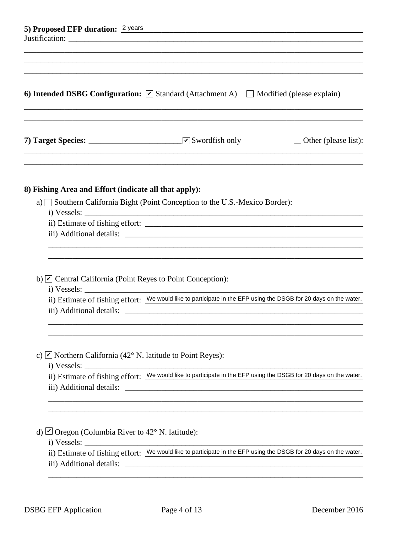| 5) Proposed EFP duration: 2 years<br>6) Intended DSBG Configuration: $\triangledown$ Standard (Attachment A) $\square$ Modified (please explain) |                                                                                                                                                                                                                                          |  |  |  |  |
|--------------------------------------------------------------------------------------------------------------------------------------------------|------------------------------------------------------------------------------------------------------------------------------------------------------------------------------------------------------------------------------------------|--|--|--|--|
|                                                                                                                                                  |                                                                                                                                                                                                                                          |  |  |  |  |
| 8) Fishing Area and Effort (indicate all that apply):                                                                                            | a) Southern California Bight (Point Conception to the U.S.-Mexico Border):                                                                                                                                                               |  |  |  |  |
| b) $\triangleright$ Central California (Point Reyes to Point Conception):<br>iii) Additional details:                                            | ii) Estimate of fishing effort: We would like to participate in the EFP using the DSGB for 20 days on the water.<br><u> 1980 - Jan Stein Stein Stein Stein Stein Stein Stein Stein Stein Stein Stein Stein Stein Stein Stein Stein S</u> |  |  |  |  |
| c) $\triangleright$ Northern California (42° N. latitude to Point Reyes):                                                                        |                                                                                                                                                                                                                                          |  |  |  |  |
| iii) Additional details:<br>d) Oregon (Columbia River to $42^{\circ}$ N. latitude):                                                              | <u> 1989 - Johann Barbara, martin amerikan basal dan berasal dalam basal dalam basal dalam basal dalam basal dala</u>                                                                                                                    |  |  |  |  |
| iii) Additional details:                                                                                                                         | ii) Estimate of fishing effort: We would like to participate in the EFP using the DSGB for 20 days on the water.                                                                                                                         |  |  |  |  |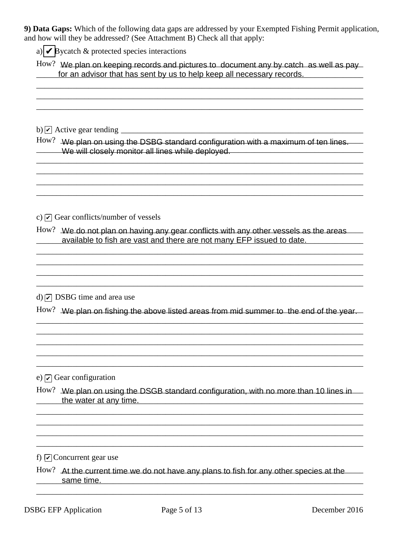9) Data Gaps: Which of the following data gaps are addressed by your Exempted Fishing Permit application, and how will they be addressed? (See Attachment B) Check all that apply:

a)  $\triangleright$  Bycatch & protected species interactions

How? We plan on keeping records and pictures to document any by catch as well as pay for an advisor that has sent by us to help keep all necessary records.

 $How?$  We plan on using the DSBG standard configuration with a maximum of ten lines. We will closely monitor all lines while deployed. We will closely monitor all lines while deployed.

c)  $\triangledown$  Gear conflicts/number of vessels

How? We do not plan on having any gear conflicts with any other vessels as the areas available to fish are vast and there are not many EFP issued to date.

d)  $\overline{V}$  DSBG time and area use

How? We plan on fishing the above listed areas from mid summer to the end of the year.

e)  $\vert \overline{\mathbf{v}} \vert$  Gear configuration

How? We plan on using the DSGB standard configuration, with no more than 10 lines in the water at any time.

f)  $\boxed{\mathbf{v}}$  Concurrent gear use

How? At the current time we do not have any plans to fish for any other species at the same time.